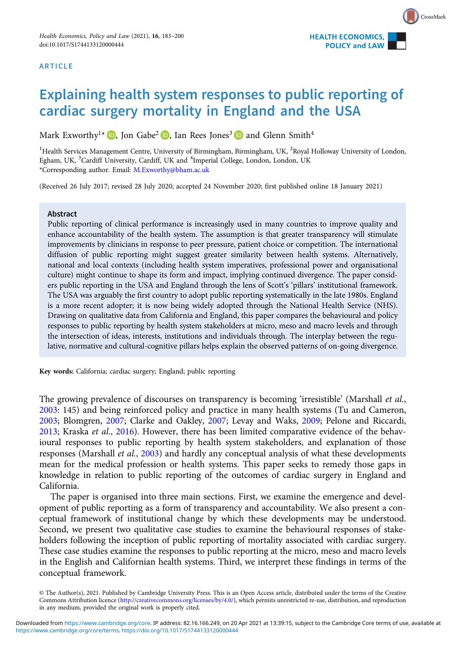#### ARTICLE



# Explaining health system responses to public reporting of cardiac surgery mortality in England and the USA

Mark Exworthy<sup>1\*</sup> **D**, Jon Gabe<sup>2</sup> **D**, Ian Rees Jones<sup>3</sup> **D** and Glenn Smith<sup>4</sup>

<sup>1</sup>Health Services Management Centre, University of Birmingham, Birmingham, UK, <sup>2</sup>Royal Holloway University of London, Egham, UK, <sup>3</sup>Cardiff University, Cardiff, UK and <sup>4</sup>Imperial College, London, London, UK \*Corresponding author. Email: [M.Exworthy@bham.ac.uk](mailto:M.Exworthy@bham.ac.uk)

(Received 26 July 2017; revised 28 July 2020; accepted 24 November 2020; first published online 18 January 2021)

#### Abstract

Public reporting of clinical performance is increasingly used in many countries to improve quality and enhance accountability of the health system. The assumption is that greater transparency will stimulate improvements by clinicians in response to peer pressure, patient choice or competition. The international diffusion of public reporting might suggest greater similarity between health systems. Alternatively, national and local contexts (including health system imperatives, professional power and organisational culture) might continue to shape its form and impact, implying continued divergence. The paper considers public reporting in the USA and England through the lens of Scott's 'pillars' institutional framework. The USA was arguably the first country to adopt public reporting systematically in the late 1980s. England is a more recent adopter; it is now being widely adopted through the National Health Service (NHS). Drawing on qualitative data from California and England, this paper compares the behavioural and policy responses to public reporting by health system stakeholders at micro, meso and macro levels and through the intersection of ideas, interests, institutions and individuals through. The interplay between the regulative, normative and cultural-cognitive pillars helps explain the observed patterns of on-going divergence.

Key words: California; cardiac surgery; England; public reporting

The growing prevalence of discourses on transparency is becoming 'irresistible' (Marshall *et al.*, [2003](#page-16-0): 145) and being reinforced policy and practice in many health systems (Tu and Cameron, [2003](#page-17-0); Blomgren, [2007](#page-14-0); Clarke and Oakley, [2007;](#page-15-0) Levay and Waks, [2009](#page-16-0); Pelone and Riccardi, [2013](#page-16-0); Kraska et al., [2016](#page-16-0)). However, there has been limited comparative evidence of the behavioural responses to public reporting by health system stakeholders, and explanation of those responses (Marshall *et al.*, [2003](#page-16-0)) and hardly any conceptual analysis of what these developments mean for the medical profession or health systems. This paper seeks to remedy those gaps in knowledge in relation to public reporting of the outcomes of cardiac surgery in England and California.

The paper is organised into three main sections. First, we examine the emergence and development of public reporting as a form of transparency and accountability. We also present a conceptual framework of institutional change by which these developments may be understood. Second, we present two qualitative case studies to examine the behavioural responses of stakeholders following the inception of public reporting of mortality associated with cardiac surgery. These case studies examine the responses to public reporting at the micro, meso and macro levels in the English and Californian health systems. Third, we interpret these findings in terms of the conceptual framework.

<sup>©</sup> The Author(s), 2021. Published by Cambridge University Press. This is an Open Access article, distributed under the terms of the Creative Commons Attribution licence [\(http://creativecommons.org/licenses/by/4.0/\)](http://creativecommons.org/licenses/by/4.0/), which permits unrestricted re-use, distribution, and reproduction in any medium, provided the original work is properly cited.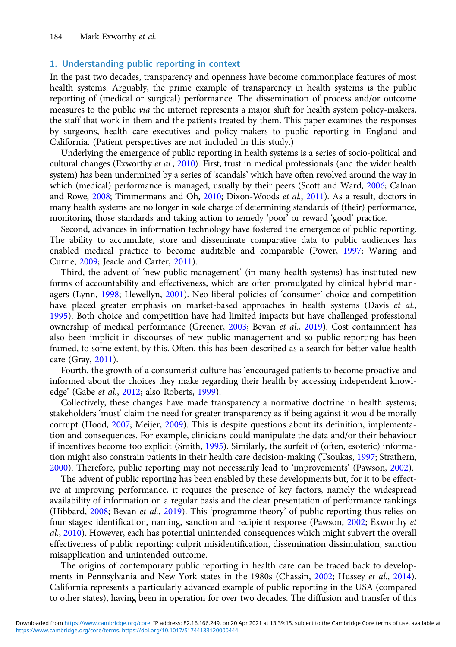# 1. Understanding public reporting in context

In the past two decades, transparency and openness have become commonplace features of most health systems. Arguably, the prime example of transparency in health systems is the public reporting of (medical or surgical) performance. The dissemination of process and/or outcome measures to the public *via* the internet represents a major shift for health system policy-makers, the staff that work in them and the patients treated by them. This paper examines the responses by surgeons, health care executives and policy-makers to public reporting in England and California. (Patient perspectives are not included in this study.)

Underlying the emergence of public reporting in health systems is a series of socio-political and cultural changes (Exworthy et al., [2010\)](#page-15-0). First, trust in medical professionals (and the wider health system) has been undermined by a series of 'scandals' which have often revolved around the way in which (medical) performance is managed, usually by their peers (Scott and Ward, [2006](#page-17-0); Calnan and Rowe, [2008;](#page-15-0) Timmermans and Oh, [2010](#page-17-0); Dixon-Woods et al., [2011\)](#page-15-0). As a result, doctors in many health systems are no longer in sole charge of determining standards of (their) performance, monitoring those standards and taking action to remedy 'poor' or reward 'good' practice.

Second, advances in information technology have fostered the emergence of public reporting. The ability to accumulate, store and disseminate comparative data to public audiences has enabled medical practice to become auditable and comparable (Power, [1997;](#page-16-0) Waring and Currie, [2009;](#page-17-0) Jeacle and Carter, [2011\)](#page-16-0).

Third, the advent of 'new public management' (in many health systems) has instituted new forms of accountability and effectiveness, which are often promulgated by clinical hybrid managers (Lynn, [1998;](#page-16-0) Llewellyn, [2001\)](#page-16-0). Neo-liberal policies of 'consumer' choice and competition have placed greater emphasis on market-based approaches in health systems (Davis et al., [1995\)](#page-15-0). Both choice and competition have had limited impacts but have challenged professional ownership of medical performance (Greener, [2003;](#page-15-0) Bevan et al., [2019\)](#page-14-0). Cost containment has also been implicit in discourses of new public management and so public reporting has been framed, to some extent, by this. Often, this has been described as a search for better value health care (Gray, [2011](#page-15-0)).

Fourth, the growth of a consumerist culture has 'encouraged patients to become proactive and informed about the choices they make regarding their health by accessing independent knowl-edge' (Gabe et al., [2012;](#page-15-0) also Roberts, [1999](#page-16-0)).

Collectively, these changes have made transparency a normative doctrine in health systems; stakeholders 'must' claim the need for greater transparency as if being against it would be morally corrupt (Hood, [2007;](#page-16-0) Meijer, [2009](#page-16-0)). This is despite questions about its definition, implementation and consequences. For example, clinicians could manipulate the data and/or their behaviour if incentives become too explicit (Smith, [1995\)](#page-17-0). Similarly, the surfeit of (often, esoteric) information might also constrain patients in their health care decision-making (Tsoukas, [1997;](#page-17-0) Strathern, [2000\)](#page-17-0). Therefore, public reporting may not necessarily lead to 'improvements' (Pawson, [2002\)](#page-16-0).

The advent of public reporting has been enabled by these developments but, for it to be effective at improving performance, it requires the presence of key factors, namely the widespread availability of information on a regular basis and the clear presentation of performance rankings (Hibbard, [2008](#page-16-0); Bevan et al., [2019\)](#page-14-0). This 'programme theory' of public reporting thus relies on four stages: identification, naming, sanction and recipient response (Pawson, [2002](#page-16-0); Exworthy et al., [2010](#page-15-0)). However, each has potential unintended consequences which might subvert the overall effectiveness of public reporting: culprit misidentification, dissemination dissimulation, sanction misapplication and unintended outcome.

The origins of contemporary public reporting in health care can be traced back to develop-ments in Pennsylvania and New York states in the 1980s (Chassin, [2002;](#page-15-0) Hussey et al., [2014\)](#page-16-0). California represents a particularly advanced example of public reporting in the USA (compared to other states), having been in operation for over two decades. The diffusion and transfer of this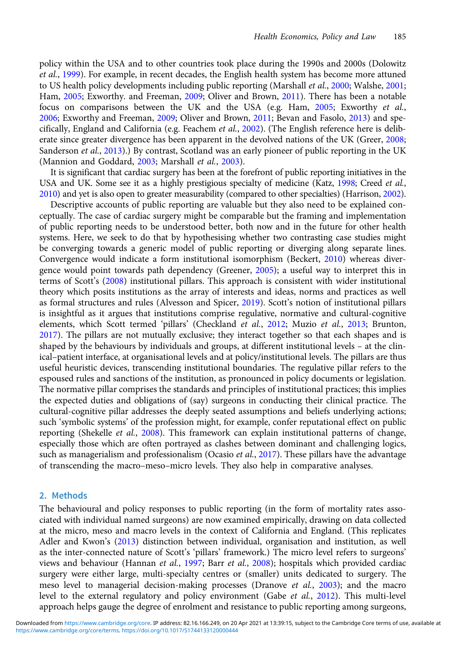policy within the USA and to other countries took place during the 1990s and 2000s (Dolowitz et al., [1999](#page-15-0)). For example, in recent decades, the English health system has become more attuned to US health policy developments including public reporting (Marshall et al., [2000;](#page-16-0) Walshe, [2001](#page-17-0); Ham, [2005](#page-15-0); Exworthy. and Freeman, [2009](#page-15-0); Oliver and Brown, [2011\)](#page-16-0). There has been a notable focus on comparisons between the UK and the USA (e.g. Ham, [2005](#page-15-0); Exworthy et al., [2006](#page-15-0); Exworthy and Freeman, [2009;](#page-15-0) Oliver and Brown, [2011;](#page-16-0) Bevan and Fasolo, [2013](#page-14-0)) and spe-cifically, England and California (e.g. Feachem et al., [2002](#page-15-0)). (The English reference here is deliberate since greater divergence has been apparent in the devolved nations of the UK (Greer, [2008](#page-15-0); Sanderson et al., [2013](#page-17-0)).) By contrast, Scotland was an early pioneer of public reporting in the UK (Mannion and Goddard, [2003](#page-16-0); Marshall *et al.*, 2003).

It is significant that cardiac surgery has been at the forefront of public reporting initiatives in the USA and UK. Some see it as a highly prestigious specialty of medicine (Katz, [1998](#page-16-0); Creed et al., [2010\)](#page-15-0) and yet is also open to greater measurability (compared to other specialties) (Harrison, [2002\)](#page-16-0).

Descriptive accounts of public reporting are valuable but they also need to be explained conceptually. The case of cardiac surgery might be comparable but the framing and implementation of public reporting needs to be understood better, both now and in the future for other health systems. Here, we seek to do that by hypothesising whether two contrasting case studies might be converging towards a generic model of public reporting or diverging along separate lines. Convergence would indicate a form institutional isomorphism (Beckert, [2010\)](#page-14-0) whereas divergence would point towards path dependency (Greener, [2005](#page-15-0)); a useful way to interpret this in terms of Scott's [\(2008\)](#page-17-0) institutional pillars. This approach is consistent with wider institutional theory which posits institutions as the array of interests and ideas, norms and practices as well as formal structures and rules (Alvesson and Spicer, [2019](#page-14-0)). Scott's notion of institutional pillars is insightful as it argues that institutions comprise regulative, normative and cultural-cognitive elements, which Scott termed 'pillars' (Checkland et al., [2012;](#page-15-0) Muzio et al., [2013;](#page-16-0) Brunton, [2017](#page-15-0)). The pillars are not mutually exclusive; they interact together so that each shapes and is shaped by the behaviours by individuals and groups, at different institutional levels – at the clinical–patient interface, at organisational levels and at policy/institutional levels. The pillars are thus useful heuristic devices, transcending institutional boundaries. The regulative pillar refers to the espoused rules and sanctions of the institution, as pronounced in policy documents or legislation. The normative pillar comprises the standards and principles of institutional practices; this implies the expected duties and obligations of (say) surgeons in conducting their clinical practice. The cultural-cognitive pillar addresses the deeply seated assumptions and beliefs underlying actions; such 'symbolic systems' of the profession might, for example, confer reputational effect on public reporting (Shekelle et al., [2008\)](#page-17-0). This framework can explain institutional patterns of change, especially those which are often portrayed as clashes between dominant and challenging logics, such as managerialism and professionalism (Ocasio et al., [2017](#page-16-0)). These pillars have the advantage of transcending the macro–meso–micro levels. They also help in comparative analyses.

# 2. Methods

The behavioural and policy responses to public reporting (in the form of mortality rates associated with individual named surgeons) are now examined empirically, drawing on data collected at the micro, meso and macro levels in the context of California and England. (This replicates Adler and Kwon's [\(2013\)](#page-14-0) distinction between individual, organisation and institution, as well as the inter-connected nature of Scott's 'pillars' framework.) The micro level refers to surgeons' views and behaviour (Hannan et al., [1997;](#page-16-0) Barr et al., [2008\)](#page-14-0); hospitals which provided cardiac surgery were either large, multi-specialty centres or (smaller) units dedicated to surgery. The meso level to managerial decision-making processes (Dranove et al., [2003\)](#page-15-0); and the macro level to the external regulatory and policy environment (Gabe et al., [2012](#page-15-0)). This multi-level approach helps gauge the degree of enrolment and resistance to public reporting among surgeons,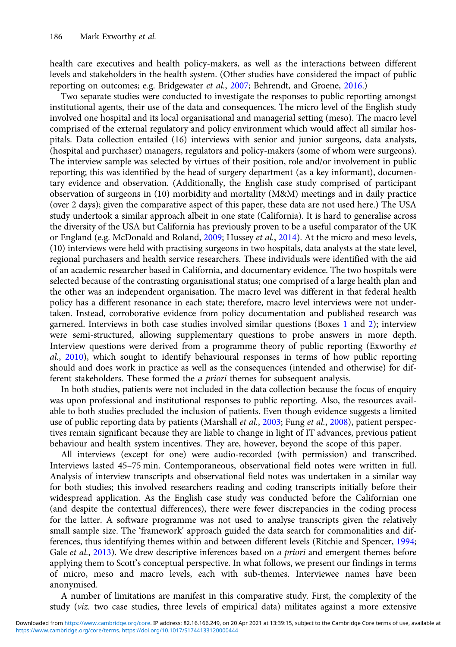health care executives and health policy-makers, as well as the interactions between different levels and stakeholders in the health system. (Other studies have considered the impact of public reporting on outcomes; e.g. Bridgewater et al., [2007;](#page-14-0) Behrendt, and Groene, [2016.](#page-14-0))

Two separate studies were conducted to investigate the responses to public reporting amongst institutional agents, their use of the data and consequences. The micro level of the English study involved one hospital and its local organisational and managerial setting (meso). The macro level comprised of the external regulatory and policy environment which would affect all similar hospitals. Data collection entailed (16) interviews with senior and junior surgeons, data analysts, (hospital and purchaser) managers, regulators and policy-makers (some of whom were surgeons). The interview sample was selected by virtues of their position, role and/or involvement in public reporting; this was identified by the head of surgery department (as a key informant), documentary evidence and observation. (Additionally, the English case study comprised of participant observation of surgeons in (10) morbidity and mortality (M&M) meetings and in daily practice (over 2 days); given the comparative aspect of this paper, these data are not used here.) The USA study undertook a similar approach albeit in one state (California). It is hard to generalise across the diversity of the USA but California has previously proven to be a useful comparator of the UK or England (e.g. McDonald and Roland, [2009](#page-16-0); Hussey et al., [2014](#page-16-0)). At the micro and meso levels, (10) interviews were held with practising surgeons in two hospitals, data analysts at the state level, regional purchasers and health service researchers. These individuals were identified with the aid of an academic researcher based in California, and documentary evidence. The two hospitals were selected because of the contrasting organisational status; one comprised of a large health plan and the other was an independent organisation. The macro level was different in that federal health policy has a different resonance in each state; therefore, macro level interviews were not undertaken. Instead, corroborative evidence from policy documentation and published research was garnered. Interviews in both case studies involved similar questions (Boxes [1](#page-4-0) and [2\)](#page-5-0); interview were semi-structured, allowing supplementary questions to probe answers in more depth. Interview questions were derived from a programme theory of public reporting (Exworthy et al., [2010](#page-15-0)), which sought to identify behavioural responses in terms of how public reporting should and does work in practice as well as the consequences (intended and otherwise) for different stakeholders. These formed the *a priori* themes for subsequent analysis.

In both studies, patients were not included in the data collection because the focus of enquiry was upon professional and institutional responses to public reporting. Also, the resources available to both studies precluded the inclusion of patients. Even though evidence suggests a limited use of public reporting data by patients (Marshall et al., [2003;](#page-16-0) Fung et al., [2008\)](#page-15-0), patient perspectives remain significant because they are liable to change in light of IT advances, previous patient behaviour and health system incentives. They are, however, beyond the scope of this paper.

All interviews (except for one) were audio-recorded (with permission) and transcribed. Interviews lasted 45–75 min. Contemporaneous, observational field notes were written in full. Analysis of interview transcripts and observational field notes was undertaken in a similar way for both studies; this involved researchers reading and coding transcripts initially before their widespread application. As the English case study was conducted before the Californian one (and despite the contextual differences), there were fewer discrepancies in the coding process for the latter. A software programme was not used to analyse transcripts given the relatively small sample size. The 'framework' approach guided the data search for commonalities and differences, thus identifying themes within and between different levels (Ritchie and Spencer, [1994](#page-16-0); Gale et al., [2013](#page-15-0)). We drew descriptive inferences based on a priori and emergent themes before applying them to Scott's conceptual perspective. In what follows, we present our findings in terms of micro, meso and macro levels, each with sub-themes. Interviewee names have been anonymised.

A number of limitations are manifest in this comparative study. First, the complexity of the study (viz. two case studies, three levels of empirical data) militates against a more extensive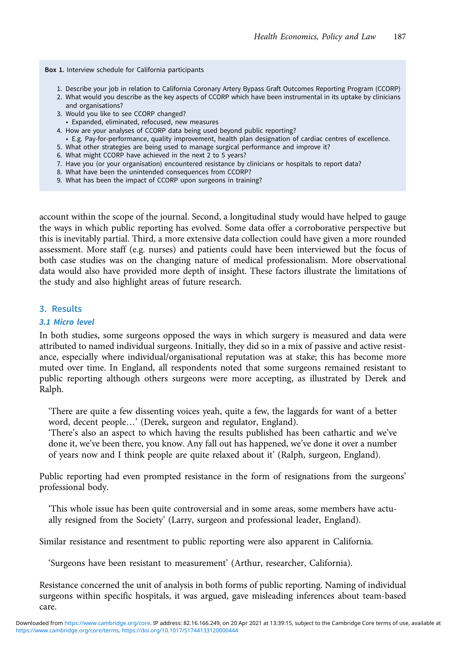<span id="page-4-0"></span>Box 1. Interview schedule for California participants

- 1. Describe your job in relation to California Coronary Artery Bypass Graft Outcomes Reporting Program (CCORP)
- 2. What would you describe as the key aspects of CCORP which have been instrumental in its uptake by clinicians and organisations?
- 3. Would you like to see CCORP changed?
- Expanded, eliminated, refocused, new measures
- 4. How are your analyses of CCORP data being used beyond public reporting?
- E.g. Pay-for-performance, quality improvement, health plan designation of cardiac centres of excellence.
- 5. What other strategies are being used to manage surgical performance and improve it?
- 6. What might CCORP have achieved in the next 2 to 5 years?
- 7. Have you (or your organisation) encountered resistance by clinicians or hospitals to report data?
- 8. What have been the unintended consequences from CCORP?
- 9. What has been the impact of CCORP upon surgeons in training?

account within the scope of the journal. Second, a longitudinal study would have helped to gauge the ways in which public reporting has evolved. Some data offer a corroborative perspective but this is inevitably partial. Third, a more extensive data collection could have given a more rounded assessment. More staff (e.g. nurses) and patients could have been interviewed but the focus of both case studies was on the changing nature of medical professionalism. More observational data would also have provided more depth of insight. These factors illustrate the limitations of the study and also highlight areas of future research.

# 3. Results

#### 3.1 Micro level

In both studies, some surgeons opposed the ways in which surgery is measured and data were attributed to named individual surgeons. Initially, they did so in a mix of passive and active resistance, especially where individual/organisational reputation was at stake; this has become more muted over time. In England, all respondents noted that some surgeons remained resistant to public reporting although others surgeons were more accepting, as illustrated by Derek and Ralph.

'There are quite a few dissenting voices yeah, quite a few, the laggards for want of a better word, decent people…' (Derek, surgeon and regulator, England).

'There's also an aspect to which having the results published has been cathartic and we've done it, we've been there, you know. Any fall out has happened, we've done it over a number of years now and I think people are quite relaxed about it' (Ralph, surgeon, England).

Public reporting had even prompted resistance in the form of resignations from the surgeons' professional body.

'This whole issue has been quite controversial and in some areas, some members have actually resigned from the Society' (Larry, surgeon and professional leader, England).

Similar resistance and resentment to public reporting were also apparent in California.

'Surgeons have been resistant to measurement' (Arthur, researcher, California).

Resistance concerned the unit of analysis in both forms of public reporting. Naming of individual surgeons within specific hospitals, it was argued, gave misleading inferences about team-based care.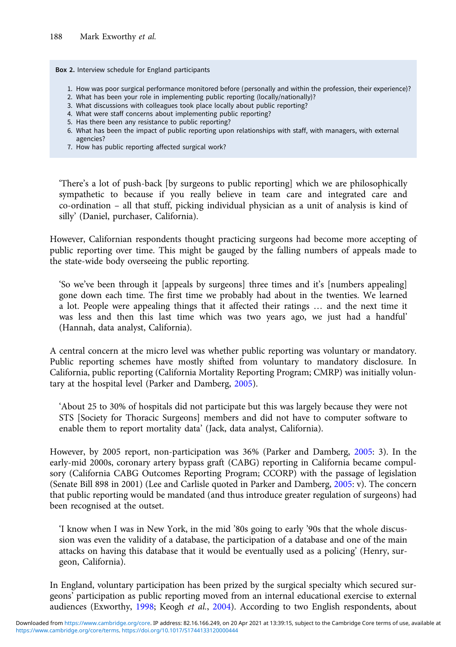<span id="page-5-0"></span>Box 2. Interview schedule for England participants

- 1. How was poor surgical performance monitored before (personally and within the profession, their experience)?
- 2. What has been your role in implementing public reporting (locally/nationally)?
- 3. What discussions with colleagues took place locally about public reporting?
- 4. What were staff concerns about implementing public reporting?
- 5. Has there been any resistance to public reporting?
- 6. What has been the impact of public reporting upon relationships with staff, with managers, with external agencies?
- 7. How has public reporting affected surgical work?

'There's a lot of push-back [by surgeons to public reporting] which we are philosophically sympathetic to because if you really believe in team care and integrated care and co-ordination – all that stuff, picking individual physician as a unit of analysis is kind of silly' (Daniel, purchaser, California).

However, Californian respondents thought practicing surgeons had become more accepting of public reporting over time. This might be gauged by the falling numbers of appeals made to the state-wide body overseeing the public reporting.

'So we've been through it [appeals by surgeons] three times and it's [numbers appealing] gone down each time. The first time we probably had about in the twenties. We learned a lot. People were appealing things that it affected their ratings … and the next time it was less and then this last time which was two years ago, we just had a handful' (Hannah, data analyst, California).

A central concern at the micro level was whether public reporting was voluntary or mandatory. Public reporting schemes have mostly shifted from voluntary to mandatory disclosure. In California, public reporting (California Mortality Reporting Program; CMRP) was initially voluntary at the hospital level (Parker and Damberg, [2005](#page-16-0)).

'About 25 to 30% of hospitals did not participate but this was largely because they were not STS [Society for Thoracic Surgeons] members and did not have to computer software to enable them to report mortality data' (Jack, data analyst, California).

However, by 2005 report, non-participation was 36% (Parker and Damberg, [2005:](#page-16-0) 3). In the early-mid 2000s, coronary artery bypass graft (CABG) reporting in California became compulsory (California CABG Outcomes Reporting Program; CCORP) with the passage of legislation (Senate Bill 898 in 2001) (Lee and Carlisle quoted in Parker and Damberg, [2005](#page-16-0): v). The concern that public reporting would be mandated (and thus introduce greater regulation of surgeons) had been recognised at the outset.

'I know when I was in New York, in the mid '80s going to early '90s that the whole discussion was even the validity of a database, the participation of a database and one of the main attacks on having this database that it would be eventually used as a policing' (Henry, surgeon, California).

In England, voluntary participation has been prized by the surgical specialty which secured surgeons' participation as public reporting moved from an internal educational exercise to external audiences (Exworthy, [1998;](#page-15-0) Keogh et al., [2004\)](#page-16-0). According to two English respondents, about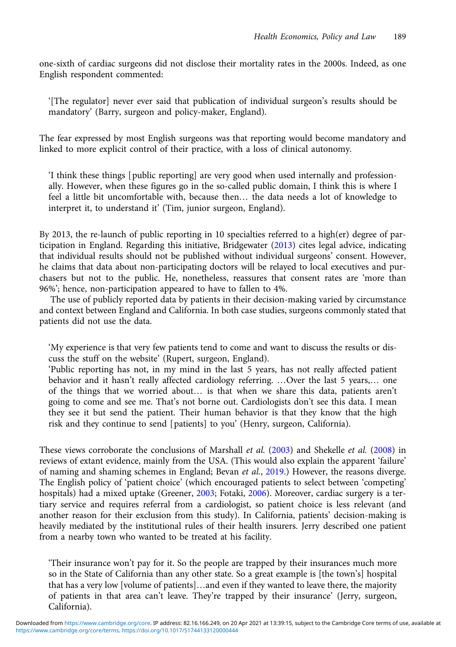one-sixth of cardiac surgeons did not disclose their mortality rates in the 2000s. Indeed, as one English respondent commented:

'[The regulator] never ever said that publication of individual surgeon's results should be mandatory' (Barry, surgeon and policy-maker, England).

The fear expressed by most English surgeons was that reporting would become mandatory and linked to more explicit control of their practice, with a loss of clinical autonomy.

'I think these things [public reporting] are very good when used internally and professionally. However, when these figures go in the so-called public domain, I think this is where I feel a little bit uncomfortable with, because then… the data needs a lot of knowledge to interpret it, to understand it' (Tim, junior surgeon, England).

By 2013, the re-launch of public reporting in 10 specialties referred to a high(er) degree of participation in England. Regarding this initiative, Bridgewater ([2013](#page-14-0)) cites legal advice, indicating that individual results should not be published without individual surgeons' consent. However, he claims that data about non-participating doctors will be relayed to local executives and purchasers but not to the public. He, nonetheless, reassures that consent rates are 'more than 96%'; hence, non-participation appeared to have to fallen to 4%.

The use of publicly reported data by patients in their decision-making varied by circumstance and context between England and California. In both case studies, surgeons commonly stated that patients did not use the data.

'My experience is that very few patients tend to come and want to discuss the results or discuss the stuff on the website' (Rupert, surgeon, England).

'Public reporting has not, in my mind in the last 5 years, has not really affected patient behavior and it hasn't really affected cardiology referring. …Over the last 5 years,… one of the things that we worried about… is that when we share this data, patients aren't going to come and see me. That's not borne out. Cardiologists don't see this data. I mean they see it but send the patient. Their human behavior is that they know that the high risk and they continue to send [patients] to you' (Henry, surgeon, California).

These views corroborate the conclusions of Marshall *et al.* [\(2003\)](#page-16-0) and Shekelle *et al.* [\(2008](#page-17-0)) in reviews of extant evidence, mainly from the USA. (This would also explain the apparent 'failure' of naming and shaming schemes in England; Bevan et al., [2019](#page-14-0).) However, the reasons diverge. The English policy of 'patient choice' (which encouraged patients to select between 'competing' hospitals) had a mixed uptake (Greener, [2003](#page-15-0); Fotaki, [2006](#page-15-0)). Moreover, cardiac surgery is a tertiary service and requires referral from a cardiologist, so patient choice is less relevant (and another reason for their exclusion from this study). In California, patients' decision-making is heavily mediated by the institutional rules of their health insurers. Jerry described one patient from a nearby town who wanted to be treated at his facility.

'Their insurance won't pay for it. So the people are trapped by their insurances much more so in the State of California than any other state. So a great example is [the town's] hospital that has a very low [volume of patients]…and even if they wanted to leave there, the majority of patients in that area can't leave. They're trapped by their insurance' (Jerry, surgeon, California).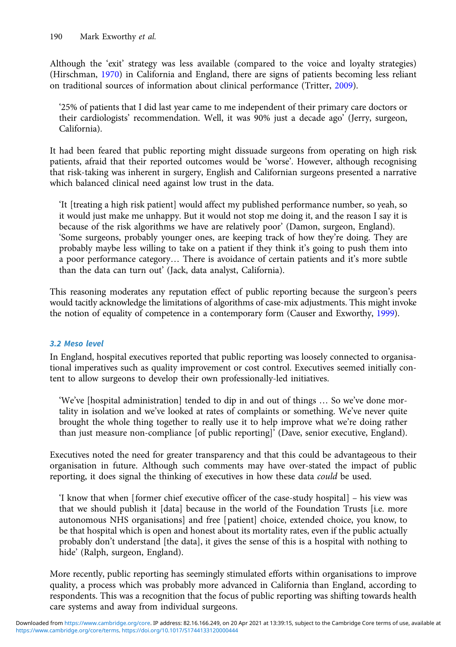Although the 'exit' strategy was less available (compared to the voice and loyalty strategies) (Hirschman, [1970\)](#page-16-0) in California and England, there are signs of patients becoming less reliant on traditional sources of information about clinical performance (Tritter, [2009\)](#page-17-0).

'25% of patients that I did last year came to me independent of their primary care doctors or their cardiologists' recommendation. Well, it was 90% just a decade ago' (Jerry, surgeon, California).

It had been feared that public reporting might dissuade surgeons from operating on high risk patients, afraid that their reported outcomes would be 'worse'. However, although recognising that risk-taking was inherent in surgery, English and Californian surgeons presented a narrative which balanced clinical need against low trust in the data.

'It [treating a high risk patient] would affect my published performance number, so yeah, so it would just make me unhappy. But it would not stop me doing it, and the reason I say it is because of the risk algorithms we have are relatively poor' (Damon, surgeon, England). 'Some surgeons, probably younger ones, are keeping track of how they're doing. They are probably maybe less willing to take on a patient if they think it's going to push them into a poor performance category… There is avoidance of certain patients and it's more subtle than the data can turn out' (Jack, data analyst, California).

This reasoning moderates any reputation effect of public reporting because the surgeon's peers would tacitly acknowledge the limitations of algorithms of case-mix adjustments. This might invoke the notion of equality of competence in a contemporary form (Causer and Exworthy, [1999\)](#page-15-0).

# 3.2 Meso level

In England, hospital executives reported that public reporting was loosely connected to organisational imperatives such as quality improvement or cost control. Executives seemed initially content to allow surgeons to develop their own professionally-led initiatives.

'We've [hospital administration] tended to dip in and out of things … So we've done mortality in isolation and we've looked at rates of complaints or something. We've never quite brought the whole thing together to really use it to help improve what we're doing rather than just measure non-compliance [of public reporting]' (Dave, senior executive, England).

Executives noted the need for greater transparency and that this could be advantageous to their organisation in future. Although such comments may have over-stated the impact of public reporting, it does signal the thinking of executives in how these data could be used.

'I know that when [former chief executive officer of the case-study hospital] – his view was that we should publish it [data] because in the world of the Foundation Trusts [i.e. more autonomous NHS organisations] and free [patient] choice, extended choice, you know, to be that hospital which is open and honest about its mortality rates, even if the public actually probably don't understand [the data], it gives the sense of this is a hospital with nothing to hide' (Ralph, surgeon, England).

More recently, public reporting has seemingly stimulated efforts within organisations to improve quality, a process which was probably more advanced in California than England, according to respondents. This was a recognition that the focus of public reporting was shifting towards health care systems and away from individual surgeons.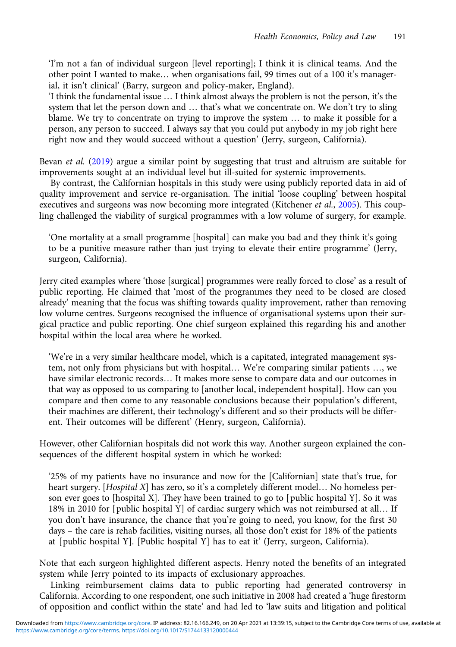'I'm not a fan of individual surgeon [level reporting]; I think it is clinical teams. And the other point I wanted to make… when organisations fail, 99 times out of a 100 it's managerial, it isn't clinical' (Barry, surgeon and policy-maker, England).

'I think the fundamental issue … I think almost always the problem is not the person, it's the system that let the person down and … that's what we concentrate on. We don't try to sling blame. We try to concentrate on trying to improve the system … to make it possible for a person, any person to succeed. I always say that you could put anybody in my job right here right now and they would succeed without a question' (Jerry, surgeon, California).

Bevan *et al.* [\(2019\)](#page-14-0) argue a similar point by suggesting that trust and altruism are suitable for improvements sought at an individual level but ill-suited for systemic improvements.

By contrast, the Californian hospitals in this study were using publicly reported data in aid of quality improvement and service re-organisation. The initial 'loose coupling' between hospital executives and surgeons was now becoming more integrated (Kitchener et al., [2005\)](#page-16-0). This coupling challenged the viability of surgical programmes with a low volume of surgery, for example.

'One mortality at a small programme [hospital] can make you bad and they think it's going to be a punitive measure rather than just trying to elevate their entire programme' (Jerry, surgeon, California).

Jerry cited examples where 'those [surgical] programmes were really forced to close' as a result of public reporting. He claimed that 'most of the programmes they need to be closed are closed already' meaning that the focus was shifting towards quality improvement, rather than removing low volume centres. Surgeons recognised the influence of organisational systems upon their surgical practice and public reporting. One chief surgeon explained this regarding his and another hospital within the local area where he worked.

'We're in a very similar healthcare model, which is a capitated, integrated management system, not only from physicians but with hospital… We're comparing similar patients …, we have similar electronic records… It makes more sense to compare data and our outcomes in that way as opposed to us comparing to [another local, independent hospital]. How can you compare and then come to any reasonable conclusions because their population's different, their machines are different, their technology's different and so their products will be different. Their outcomes will be different' (Henry, surgeon, California).

However, other Californian hospitals did not work this way. Another surgeon explained the consequences of the different hospital system in which he worked:

'25% of my patients have no insurance and now for the [Californian] state that's true, for heart surgery. [Hospital X] has zero, so it's a completely different model... No homeless person ever goes to [hospital X]. They have been trained to go to [public hospital Y]. So it was 18% in 2010 for [public hospital Y] of cardiac surgery which was not reimbursed at all… If you don't have insurance, the chance that you're going to need, you know, for the first 30 days – the care is rehab facilities, visiting nurses, all those don't exist for 18% of the patients at [public hospital Y]. [Public hospital Y] has to eat it' (Jerry, surgeon, California).

Note that each surgeon highlighted different aspects. Henry noted the benefits of an integrated system while Jerry pointed to its impacts of exclusionary approaches.

Linking reimbursement claims data to public reporting had generated controversy in California. According to one respondent, one such initiative in 2008 had created a 'huge firestorm of opposition and conflict within the state' and had led to 'law suits and litigation and political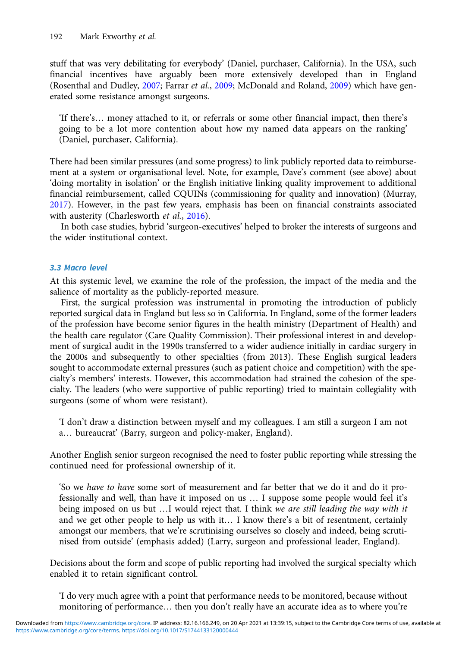stuff that was very debilitating for everybody' (Daniel, purchaser, California). In the USA, such financial incentives have arguably been more extensively developed than in England (Rosenthal and Dudley, [2007](#page-16-0); Farrar et al., [2009;](#page-15-0) McDonald and Roland, [2009\)](#page-16-0) which have generated some resistance amongst surgeons.

'If there's… money attached to it, or referrals or some other financial impact, then there's going to be a lot more contention about how my named data appears on the ranking' (Daniel, purchaser, California).

There had been similar pressures (and some progress) to link publicly reported data to reimbursement at a system or organisational level. Note, for example, Dave's comment (see above) about 'doing mortality in isolation' or the English initiative linking quality improvement to additional financial reimbursement, called CQUINs (commissioning for quality and innovation) (Murray, [2017\)](#page-16-0). However, in the past few years, emphasis has been on financial constraints associated with austerity (Charlesworth et al., [2016\)](#page-15-0).

In both case studies, hybrid 'surgeon-executives' helped to broker the interests of surgeons and the wider institutional context.

# 3.3 Macro level

At this systemic level, we examine the role of the profession, the impact of the media and the salience of mortality as the publicly-reported measure.

First, the surgical profession was instrumental in promoting the introduction of publicly reported surgical data in England but less so in California. In England, some of the former leaders of the profession have become senior figures in the health ministry (Department of Health) and the health care regulator (Care Quality Commission). Their professional interest in and development of surgical audit in the 1990s transferred to a wider audience initially in cardiac surgery in the 2000s and subsequently to other specialties (from 2013). These English surgical leaders sought to accommodate external pressures (such as patient choice and competition) with the specialty's members' interests. However, this accommodation had strained the cohesion of the specialty. The leaders (who were supportive of public reporting) tried to maintain collegiality with surgeons (some of whom were resistant).

'I don't draw a distinction between myself and my colleagues. I am still a surgeon I am not a… bureaucrat' (Barry, surgeon and policy-maker, England).

Another English senior surgeon recognised the need to foster public reporting while stressing the continued need for professional ownership of it.

'So we have to have some sort of measurement and far better that we do it and do it professionally and well, than have it imposed on us … I suppose some people would feel it's being imposed on us but ...I would reject that. I think we are still leading the way with it and we get other people to help us with it… I know there's a bit of resentment, certainly amongst our members, that we're scrutinising ourselves so closely and indeed, being scrutinised from outside' (emphasis added) (Larry, surgeon and professional leader, England).

Decisions about the form and scope of public reporting had involved the surgical specialty which enabled it to retain significant control.

'I do very much agree with a point that performance needs to be monitored, because without monitoring of performance… then you don't really have an accurate idea as to where you're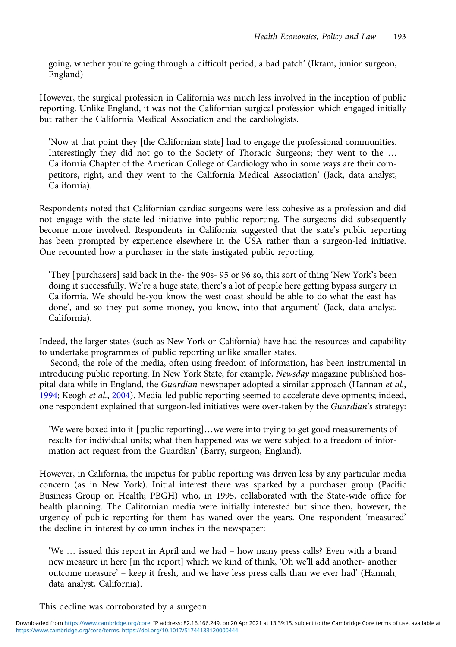going, whether you're going through a difficult period, a bad patch' (Ikram, junior surgeon, England)

However, the surgical profession in California was much less involved in the inception of public reporting. Unlike England, it was not the Californian surgical profession which engaged initially but rather the California Medical Association and the cardiologists.

'Now at that point they [the Californian state] had to engage the professional communities. Interestingly they did not go to the Society of Thoracic Surgeons; they went to the … California Chapter of the American College of Cardiology who in some ways are their competitors, right, and they went to the California Medical Association' (Jack, data analyst, California).

Respondents noted that Californian cardiac surgeons were less cohesive as a profession and did not engage with the state-led initiative into public reporting. The surgeons did subsequently become more involved. Respondents in California suggested that the state's public reporting has been prompted by experience elsewhere in the USA rather than a surgeon-led initiative. One recounted how a purchaser in the state instigated public reporting.

'They [purchasers] said back in the- the 90s- 95 or 96 so, this sort of thing 'New York's been doing it successfully. We're a huge state, there's a lot of people here getting bypass surgery in California. We should be-you know the west coast should be able to do what the east has done', and so they put some money, you know, into that argument' (Jack, data analyst, California).

Indeed, the larger states (such as New York or California) have had the resources and capability to undertake programmes of public reporting unlike smaller states.

Second, the role of the media, often using freedom of information, has been instrumental in introducing public reporting. In New York State, for example, Newsday magazine published hospital data while in England, the Guardian newspaper adopted a similar approach (Hannan et al., [1994](#page-15-0); Keogh et al., [2004\)](#page-16-0). Media-led public reporting seemed to accelerate developments; indeed, one respondent explained that surgeon-led initiatives were over-taken by the Guardian's strategy:

'We were boxed into it [public reporting]…we were into trying to get good measurements of results for individual units; what then happened was we were subject to a freedom of information act request from the Guardian' (Barry, surgeon, England).

However, in California, the impetus for public reporting was driven less by any particular media concern (as in New York). Initial interest there was sparked by a purchaser group (Pacific Business Group on Health; PBGH) who, in 1995, collaborated with the State-wide office for health planning. The Californian media were initially interested but since then, however, the urgency of public reporting for them has waned over the years. One respondent 'measured' the decline in interest by column inches in the newspaper:

'We … issued this report in April and we had – how many press calls? Even with a brand new measure in here [in the report] which we kind of think, 'Oh we'll add another- another outcome measure' – keep it fresh, and we have less press calls than we ever had' (Hannah, data analyst, California).

This decline was corroborated by a surgeon: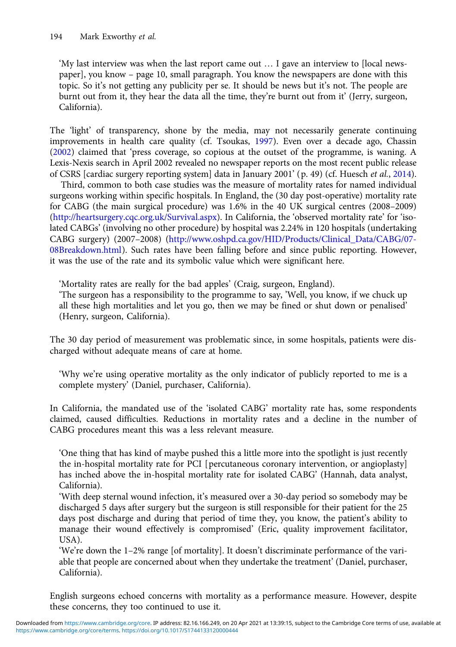'My last interview was when the last report came out … I gave an interview to [local newspaper], you know – page 10, small paragraph. You know the newspapers are done with this topic. So it's not getting any publicity per se. It should be news but it's not. The people are burnt out from it, they hear the data all the time, they're burnt out from it' (Jerry, surgeon, California).

The 'light' of transparency, shone by the media, may not necessarily generate continuing improvements in health care quality (cf. Tsoukas, [1997](#page-17-0)). Even over a decade ago, Chassin [\(2002](#page-15-0)) claimed that 'press coverage, so copious at the outset of the programme, is waning. A Lexis-Nexis search in April 2002 revealed no newspaper reports on the most recent public release of CSRS [cardiac surgery reporting system] data in January 2001' (p. 49) (cf. Huesch et al., [2014\)](#page-16-0).

Third, common to both case studies was the measure of mortality rates for named individual surgeons working within specific hospitals. In England, the (30 day post-operative) mortality rate for CABG (the main surgical procedure) was 1.6% in the 40 UK surgical centres (2008–2009) [\(http://heartsurgery.cqc.org.uk/Survival.aspx\)](http://heartsurgery.cqc.org.uk/Survival.aspx). In California, the 'observed mortality rate' for 'isolated CABGs' (involving no other procedure) by hospital was 2.24% in 120 hospitals (undertaking CABG surgery) (2007–2008) ([http://www.oshpd.ca.gov/HID/Products/Clinical\\_Data/CABG/07-](http://www.oshpd.ca.gov/HID/Products/Clinical_Data/CABG/07-08Breakdown.html) [08Breakdown.html](http://www.oshpd.ca.gov/HID/Products/Clinical_Data/CABG/07-08Breakdown.html)). Such rates have been falling before and since public reporting. However, it was the use of the rate and its symbolic value which were significant here.

'Mortality rates are really for the bad apples' (Craig, surgeon, England).

'The surgeon has a responsibility to the programme to say, 'Well, you know, if we chuck up all these high mortalities and let you go, then we may be fined or shut down or penalised' (Henry, surgeon, California).

The 30 day period of measurement was problematic since, in some hospitals, patients were discharged without adequate means of care at home.

'Why we're using operative mortality as the only indicator of publicly reported to me is a complete mystery' (Daniel, purchaser, California).

In California, the mandated use of the 'isolated CABG' mortality rate has, some respondents claimed, caused difficulties. Reductions in mortality rates and a decline in the number of CABG procedures meant this was a less relevant measure.

'One thing that has kind of maybe pushed this a little more into the spotlight is just recently the in-hospital mortality rate for PCI [percutaneous coronary intervention, or angioplasty] has inched above the in-hospital mortality rate for isolated CABG' (Hannah, data analyst, California).

'With deep sternal wound infection, it's measured over a 30-day period so somebody may be discharged 5 days after surgery but the surgeon is still responsible for their patient for the 25 days post discharge and during that period of time they, you know, the patient's ability to manage their wound effectively is compromised' (Eric, quality improvement facilitator, USA).

'We're down the 1–2% range [of mortality]. It doesn't discriminate performance of the variable that people are concerned about when they undertake the treatment' (Daniel, purchaser, California).

English surgeons echoed concerns with mortality as a performance measure. However, despite these concerns, they too continued to use it.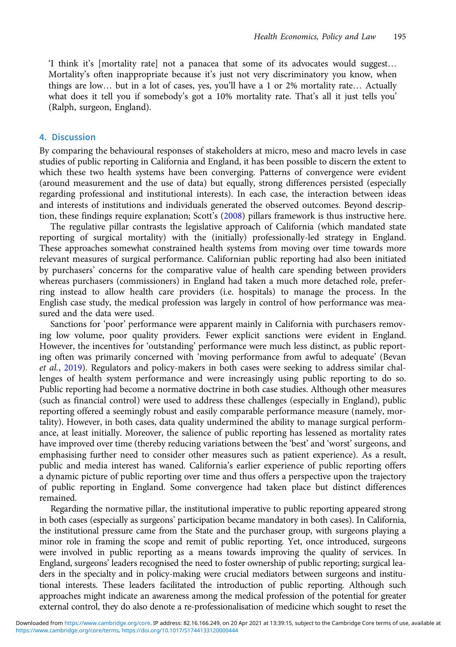'I think it's [mortality rate] not a panacea that some of its advocates would suggest… Mortality's often inappropriate because it's just not very discriminatory you know, when things are low… but in a lot of cases, yes, you'll have a 1 or 2% mortality rate… Actually what does it tell you if somebody's got a 10% mortality rate. That's all it just tells you' (Ralph, surgeon, England).

## 4. Discussion

By comparing the behavioural responses of stakeholders at micro, meso and macro levels in case studies of public reporting in California and England, it has been possible to discern the extent to which these two health systems have been converging. Patterns of convergence were evident (around measurement and the use of data) but equally, strong differences persisted (especially regarding professional and institutional interests). In each case, the interaction between ideas and interests of institutions and individuals generated the observed outcomes. Beyond descrip-tion, these findings require explanation; Scott's [\(2008\)](#page-17-0) pillars framework is thus instructive here.

The regulative pillar contrasts the legislative approach of California (which mandated state reporting of surgical mortality) with the (initially) professionally-led strategy in England. These approaches somewhat constrained health systems from moving over time towards more relevant measures of surgical performance. Californian public reporting had also been initiated by purchasers' concerns for the comparative value of health care spending between providers whereas purchasers (commissioners) in England had taken a much more detached role, preferring instead to allow health care providers (i.e. hospitals) to manage the process. In the English case study, the medical profession was largely in control of how performance was measured and the data were used.

Sanctions for 'poor' performance were apparent mainly in California with purchasers removing low volume, poor quality providers. Fewer explicit sanctions were evident in England. However, the incentives for 'outstanding' performance were much less distinct, as public reporting often was primarily concerned with 'moving performance from awful to adequate' (Bevan et al., [2019\)](#page-14-0). Regulators and policy-makers in both cases were seeking to address similar challenges of health system performance and were increasingly using public reporting to do so. Public reporting had become a normative doctrine in both case studies. Although other measures (such as financial control) were used to address these challenges (especially in England), public reporting offered a seemingly robust and easily comparable performance measure (namely, mortality). However, in both cases, data quality undermined the ability to manage surgical performance, at least initially. Moreover, the salience of public reporting has lessened as mortality rates have improved over time (thereby reducing variations between the 'best' and 'worst' surgeons, and emphasising further need to consider other measures such as patient experience). As a result, public and media interest has waned. California's earlier experience of public reporting offers a dynamic picture of public reporting over time and thus offers a perspective upon the trajectory of public reporting in England. Some convergence had taken place but distinct differences remained.

Regarding the normative pillar, the institutional imperative to public reporting appeared strong in both cases (especially as surgeons' participation became mandatory in both cases). In California, the institutional pressure came from the State and the purchaser group, with surgeons playing a minor role in framing the scope and remit of public reporting. Yet, once introduced, surgeons were involved in public reporting as a means towards improving the quality of services. In England, surgeons' leaders recognised the need to foster ownership of public reporting; surgical leaders in the specialty and in policy-making were crucial mediators between surgeons and institutional interests. These leaders facilitated the introduction of public reporting. Although such approaches might indicate an awareness among the medical profession of the potential for greater external control, they do also denote a re-professionalisation of medicine which sought to reset the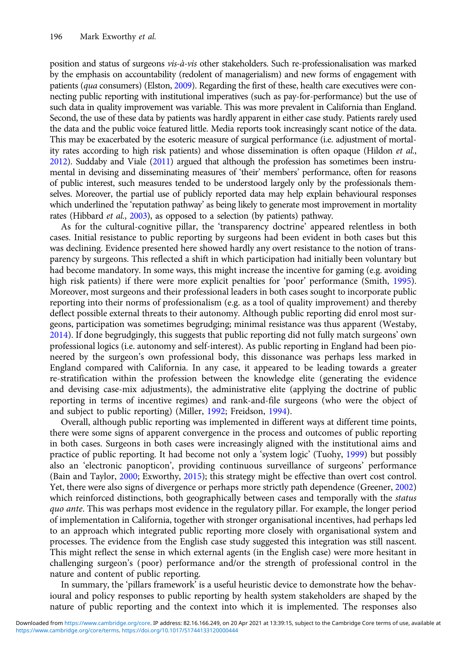position and status of surgeons vis-à-vis other stakeholders. Such re-professionalisation was marked by the emphasis on accountability (redolent of managerialism) and new forms of engagement with patients (*qua* consumers) (Elston, [2009](#page-15-0)). Regarding the first of these, health care executives were connecting public reporting with institutional imperatives (such as pay-for-performance) but the use of such data in quality improvement was variable. This was more prevalent in California than England. Second, the use of these data by patients was hardly apparent in either case study. Patients rarely used the data and the public voice featured little. Media reports took increasingly scant notice of the data. This may be exacerbated by the esoteric measure of surgical performance (i.e. adjustment of mortality rates according to high risk patients) and whose dissemination is often opaque (Hildon et al., [2012\)](#page-16-0). Suddaby and Viale [\(2011](#page-17-0)) argued that although the profession has sometimes been instrumental in devising and disseminating measures of 'their' members' performance, often for reasons of public interest, such measures tended to be understood largely only by the professionals themselves. Moreover, the partial use of publicly reported data may help explain behavioural responses which underlined the 'reputation pathway' as being likely to generate most improvement in mortality rates (Hibbard et al., [2003](#page-16-0)), as opposed to a selection (by patients) pathway.

As for the cultural-cognitive pillar, the 'transparency doctrine' appeared relentless in both cases. Initial resistance to public reporting by surgeons had been evident in both cases but this was declining. Evidence presented here showed hardly any overt resistance to the notion of transparency by surgeons. This reflected a shift in which participation had initially been voluntary but had become mandatory. In some ways, this might increase the incentive for gaming (e.g. avoiding high risk patients) if there were more explicit penalties for 'poor' performance (Smith, [1995\)](#page-17-0). Moreover, most surgeons and their professional leaders in both cases sought to incorporate public reporting into their norms of professionalism (e.g. as a tool of quality improvement) and thereby deflect possible external threats to their autonomy. Although public reporting did enrol most surgeons, participation was sometimes begrudging; minimal resistance was thus apparent (Westaby, [2014\)](#page-17-0). If done begrudgingly, this suggests that public reporting did not fully match surgeons' own professional logics (i.e. autonomy and self-interest). As public reporting in England had been pioneered by the surgeon's own professional body, this dissonance was perhaps less marked in England compared with California. In any case, it appeared to be leading towards a greater re-stratification within the profession between the knowledge elite (generating the evidence and devising case-mix adjustments), the administrative elite (applying the doctrine of public reporting in terms of incentive regimes) and rank-and-file surgeons (who were the object of and subject to public reporting) (Miller, [1992;](#page-16-0) Freidson, [1994](#page-15-0)).

Overall, although public reporting was implemented in different ways at different time points, there were some signs of apparent convergence in the process and outcomes of public reporting in both cases. Surgeons in both cases were increasingly aligned with the institutional aims and practice of public reporting. It had become not only a 'system logic' (Tuohy, [1999](#page-17-0)) but possibly also an 'electronic panopticon', providing continuous surveillance of surgeons' performance (Bain and Taylor, [2000;](#page-14-0) Exworthy, [2015](#page-15-0)); this strategy might be effective than overt cost control. Yet, there were also signs of divergence or perhaps more strictly path dependence (Greener, [2002](#page-15-0)) which reinforced distinctions, both geographically between cases and temporally with the status quo ante. This was perhaps most evidence in the regulatory pillar. For example, the longer period of implementation in California, together with stronger organisational incentives, had perhaps led to an approach which integrated public reporting more closely with organisational system and processes. The evidence from the English case study suggested this integration was still nascent. This might reflect the sense in which external agents (in the English case) were more hesitant in challenging surgeon's (poor) performance and/or the strength of professional control in the nature and content of public reporting.

In summary, the 'pillars framework' is a useful heuristic device to demonstrate how the behavioural and policy responses to public reporting by health system stakeholders are shaped by the nature of public reporting and the context into which it is implemented. The responses also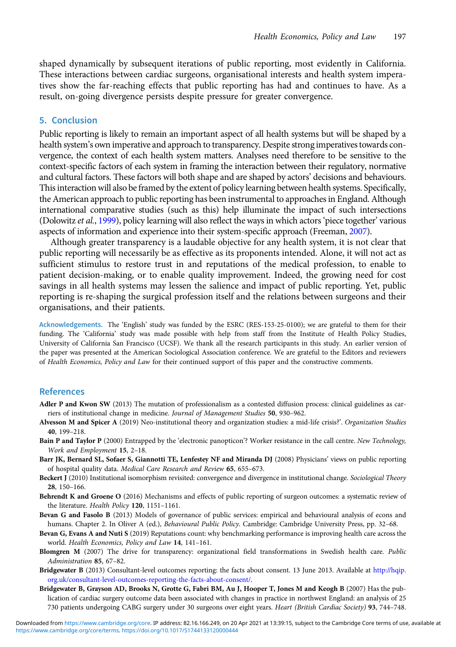<span id="page-14-0"></span>shaped dynamically by subsequent iterations of public reporting, most evidently in California. These interactions between cardiac surgeons, organisational interests and health system imperatives show the far-reaching effects that public reporting has had and continues to have. As a result, on-going divergence persists despite pressure for greater convergence.

# 5. Conclusion

Public reporting is likely to remain an important aspect of all health systems but will be shaped by a health system's own imperative and approach to transparency. Despite strong imperatives towards convergence, the context of each health system matters. Analyses need therefore to be sensitive to the context-specific factors of each system in framing the interaction between their regulatory, normative and cultural factors. These factors will both shape and are shaped by actors' decisions and behaviours. This interaction will also be framed by the extent of policy learning between health systems. Specifically, the American approach to public reporting has been instrumental to approaches in England. Although international comparative studies (such as this) help illuminate the impact of such intersections (Dolowitz et al., [1999](#page-15-0)), policy learning will also reflect the ways in which actors 'piece together' various aspects of information and experience into their system-specific approach (Freeman, [2007\)](#page-15-0).

Although greater transparency is a laudable objective for any health system, it is not clear that public reporting will necessarily be as effective as its proponents intended. Alone, it will not act as sufficient stimulus to restore trust in and reputations of the medical profession, to enable to patient decision-making, or to enable quality improvement. Indeed, the growing need for cost savings in all health systems may lessen the salience and impact of public reporting. Yet, public reporting is re-shaping the surgical profession itself and the relations between surgeons and their organisations, and their patients.

Acknowledgements. The 'English' study was funded by the ESRC (RES-153-25-0100); we are grateful to them for their funding. The 'California' study was made possible with help from staff from the Institute of Health Policy Studies, University of California San Francisco (UCSF). We thank all the research participants in this study. An earlier version of the paper was presented at the American Sociological Association conference. We are grateful to the Editors and reviewers of Health Economics, Policy and Law for their continued support of this paper and the constructive comments.

#### References

- Adler P and Kwon SW (2013) The mutation of professionalism as a contested diffusion process: clinical guidelines as carriers of institutional change in medicine. Journal of Management Studies 50, 930–962.
- Alvesson M and Spicer A (2019) Neo-institutional theory and organization studies: a mid-life crisis? Organization Studies 40, 199–218.
- Bain P and Taylor P (2000) Entrapped by the 'electronic panopticon'? Worker resistance in the call centre. New Technology, Work and Employment 15, 2–18.
- Barr JK, Bernard SL, Sofaer S, Giannotti TE, Lenfestey NF and Miranda DJ (2008) Physicians' views on public reporting of hospital quality data. Medical Care Research and Review 65, 655–673.
- Beckert J (2010) Institutional isomorphism revisited: convergence and divergence in institutional change. Sociological Theory 28, 150–166.
- Behrendt K and Groene O (2016) Mechanisms and effects of public reporting of surgeon outcomes: a systematic review of the literature. Health Policy 120, 1151–1161.
- Bevan G and Fasolo B (2013) Models of governance of public services: empirical and behavioural analysis of econs and humans. Chapter 2. In Oliver A (ed.), Behavioural Public Policy. Cambridge: Cambridge University Press, pp. 32–68.
- Bevan G, Evans A and Nuti S (2019) Reputations count: why benchmarking performance is improving health care across the world. Health Economics, Policy and Law 14, 141–161.
- Blomgren M (2007) The drive for transparency: organizational field transformations in Swedish health care. Public Administration 85, 67–82.
- Bridgewater B (2013) Consultant-level outcomes reporting: the facts about consent. 13 June 2013. Available at [http://hqip.](http://hqip.org.uk/consultant-level-outcomes-reporting-the-facts-about-consent/) [org.uk/consultant-level-outcomes-reporting-the-facts-about-consent/](http://hqip.org.uk/consultant-level-outcomes-reporting-the-facts-about-consent/).
- Bridgewater B, Grayson AD, Brooks N, Grotte G, Fabri BM, Au J, Hooper T, Jones M and Keogh B (2007) Has the publication of cardiac surgery outcome data been associated with changes in practice in northwest England: an analysis of 25 730 patients undergoing CABG surgery under 30 surgeons over eight years. Heart (British Cardiac Society) 93, 744–748.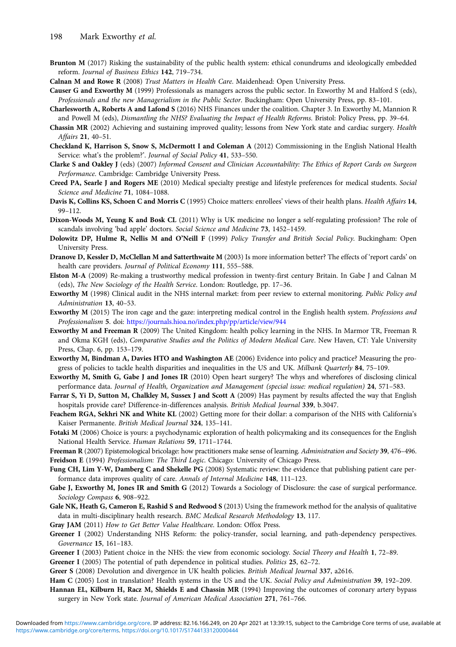- <span id="page-15-0"></span>Brunton M (2017) Risking the sustainability of the public health system: ethical conundrums and ideologically embedded reform. Journal of Business Ethics 142, 719–734.
- Calnan M and Rowe R (2008) Trust Matters in Health Care. Maidenhead: Open University Press.
- Causer G and Exworthy M (1999) Professionals as managers across the public sector. In Exworthy M and Halford S (eds), Professionals and the new Managerialism in the Public Sector. Buckingham: Open University Press, pp. 83–101.
- Charlesworth A, Roberts A and Lafond S (2016) NHS Finances under the coalition. Chapter 3. In Exworthy M, Mannion R and Powell M (eds), Dismantling the NHS? Evaluating the Impact of Health Reforms. Bristol: Policy Press, pp. 39-64.
- Chassin MR (2002) Achieving and sustaining improved quality; lessons from New York state and cardiac surgery. Health Affairs 21, 40–51.
- Checkland K, Harrison S, Snow S, McDermott I and Coleman A (2012) Commissioning in the English National Health Service: what's the problem?'. Journal of Social Policy 41, 533–550.
- Clarke S and Oakley J (eds) (2007) Informed Consent and Clinician Accountability: The Ethics of Report Cards on Surgeon Performance. Cambridge: Cambridge University Press.
- Creed PA, Searle J and Rogers ME (2010) Medical specialty prestige and lifestyle preferences for medical students. Social Science and Medicine 71, 1084–1088.
- Davis K, Collins KS, Schoen C and Morris C (1995) Choice matters: enrollees' views of their health plans. Health Affairs 14, 99–112.
- Dixon-Woods M, Yeung K and Bosk CL (2011) Why is UK medicine no longer a self-regulating profession? The role of scandals involving 'bad apple' doctors. Social Science and Medicine 73, 1452–1459.
- Dolowitz DP, Hulme R, Nellis M and O'Neill F (1999) Policy Transfer and British Social Policy. Buckingham: Open University Press.
- Dranove D, Kessler D, McClellan M and Satterthwaite M (2003) Is more information better? The effects of 'report cards' on health care providers. Journal of Political Economy 111, 555–588.
- Elston M-A (2009) Re-making a trustworthy medical profession in twenty-first century Britain. In Gabe J and Calnan M (eds), The New Sociology of the Health Service. London: Routledge, pp. 17–36.
- Exworthy M (1998) Clinical audit in the NHS internal market: from peer review to external monitoring. Public Policy and Administration 13, 40–53.
- Exworthy M (2015) The iron cage and the gaze: interpreting medical control in the English health system. Professions and Professionalism 5. doi: <https://journals.hioa.no/index.php/pp/article/view/944>
- Exworthy M and Freeman R (2009) The United Kingdom: health policy learning in the NHS. In Marmor TR, Freeman R and Okma KGH (eds), Comparative Studies and the Politics of Modern Medical Care. New Haven, CT: Yale University Press, Chap. 6, pp. 153–179.
- Exworthy M, Bindman A, Davies HTO and Washington AE (2006) Evidence into policy and practice? Measuring the progress of policies to tackle health disparities and inequalities in the US and UK. Milbank Quarterly 84, 75–109.
- Exworthy M, Smith G, Gabe J and Jones IR (2010) Open heart surgery? The whys and wherefores of disclosing clinical performance data. Journal of Health, Organization and Management (special issue: medical regulation) 24, 571–583.
- Farrar S, Yi D, Sutton M, Chalkley M, Sussex J and Scott A (2009) Has payment by results affected the way that English hospitals provide care? Difference-in-differences analysis. British Medical Journal 339, b.3047.
- Feachem RGA, Sekhri NK and White KL (2002) Getting more for their dollar: a comparison of the NHS with California's Kaiser Permanente. British Medical Journal 324, 135–141.
- Fotaki M (2006) Choice is yours: a psychodynamic exploration of health policymaking and its consequences for the English National Health Service. Human Relations 59, 1711–1744.

Freeman R (2007) Epistemological bricolage: how practitioners make sense of learning. Administration and Society 39, 476-496. Freidson E (1994) Professionalism: The Third Logic. Chicago: University of Chicago Press.

- Fung CH, Lim Y-W, Damberg C and Shekelle PG (2008) Systematic review: the evidence that publishing patient care performance data improves quality of care. Annals of Internal Medicine 148, 111–123.
- Gabe J, Exworthy M, Jones IR and Smith G (2012) Towards a Sociology of Disclosure: the case of surgical performance. Sociology Compass 6, 908–922.
- Gale NK, Heath G, Cameron E, Rashid S and Redwood S (2013) Using the framework method for the analysis of qualitative data in multi-disciplinary health research. BMC Medical Research Methodology 13, 117.
- Gray JAM (2011) How to Get Better Value Healthcare. London: Offox Press.
- Greener I (2002) Understanding NHS Reform: the policy-transfer, social learning, and path-dependency perspectives. Governance 15, 161–183.
- Greener I (2003) Patient choice in the NHS: the view from economic sociology. Social Theory and Health 1, 72-89.
- Greener I (2005) The potential of path dependence in political studies. Politics 25, 62-72.
- Greer S (2008) Devolution and divergence in UK health policies. British Medical Journal 337, a2616.
- Ham C (2005) Lost in translation? Health systems in the US and the UK. Social Policy and Administration 39, 192–209.
- Hannan EL, Kilburn H, Racz M, Shields E and Chassin MR (1994) Improving the outcomes of coronary artery bypass surgery in New York state. Journal of American Medical Association 271, 761-766.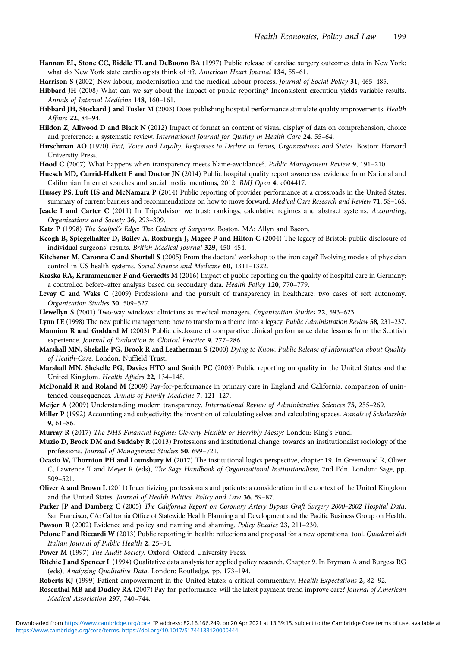- <span id="page-16-0"></span>Hannan EL, Stone CC, Biddle TL and DeBuono BA (1997) Public release of cardiac surgery outcomes data in New York: what do New York state cardiologists think of it?. American Heart Journal 134, 55–61.
- Harrison S (2002) New labour, modernisation and the medical labour process. Journal of Social Policy 31, 465-485.
- Hibbard JH (2008) What can we say about the impact of public reporting? Inconsistent execution yields variable results. Annals of Internal Medicine 148, 160–161.
- Hibbard JH, Stockard J and Tusler M (2003) Does publishing hospital performance stimulate quality improvements. Health Affairs 22, 84–94.
- Hildon Z, Allwood D and Black N (2012) Impact of format an content of visual display of data on comprehension, choice and preference: a systematic review. International Journal for Quality in Health Care 24, 55–64.
- Hirschman AO (1970) Exit, Voice and Loyalty: Responses to Decline in Firms, Organizations and States. Boston: Harvard University Press.
- Hood C (2007) What happens when transparency meets blame-avoidance?. Public Management Review 9, 191-210.
- Huesch MD, Currid-Halkett E and Doctor JN (2014) Public hospital quality report awareness: evidence from National and Californian Internet searches and social media mentions, 2012. BMJ Open 4, e004417.
- Hussey PS, Luft HS and McNamara P (2014) Public reporting of provider performance at a crossroads in the United States: summary of current barriers and recommendations on how to move forward. Medical Care Research and Review 71, 5S-16S.
- Jeacle I and Carter C (2011) In TripAdvisor we trust: rankings, calculative regimes and abstract systems. Accounting, Organizations and Society 36, 293–309.
- Katz P (1998) The Scalpel's Edge: The Culture of Surgeons. Boston, MA: Allyn and Bacon.
- Keogh B, Spiegelhalter D, Bailey A, Roxburgh J, Magee P and Hilton C (2004) The legacy of Bristol: public disclosure of individual surgeons' results. British Medical Journal 329, 450–454.
- Kitchener M, Caronna C and Shortell S (2005) From the doctors' workshop to the iron cage? Evolving models of physician control in US health systems. Social Science and Medicine 60, 1311–1322.
- Kraska RA, Krummenauer F and Geraedts M (2016) Impact of public reporting on the quality of hospital care in Germany: a controlled before–after analysis based on secondary data. Health Policy 120, 770–779.
- Levay C and Waks C (2009) Professions and the pursuit of transparency in healthcare: two cases of soft autonomy. Organization Studies 30, 509–527.
- Llewellyn S (2001) Two-way windows: clinicians as medical managers. Organization Studies 22, 593-623.
- Lynn LE (1998) The new public management: how to transform a theme into a legacy. Public Administration Review 58, 231-237.
- Mannion R and Goddard M (2003) Public disclosure of comparative clinical performance data: lessons from the Scottish experience. Journal of Evaluation in Clinical Practice 9, 277–286.
- Marshall MN, Shekelle PG, Brook R and Leatherman S (2000) Dying to Know: Public Release of Information about Quality of Health-Care. London: Nuffield Trust.
- Marshall MN, Shekelle PG, Davies HTO and Smith PC (2003) Public reporting on quality in the United States and the United Kingdom. Health Affairs 22, 134–148.
- McDonald R and Roland M (2009) Pay-for-performance in primary care in England and California: comparison of unintended consequences. Annals of Family Medicine 7, 121–127.
- Meijer A (2009) Understanding modern transparency. International Review of Administrative Sciences 75, 255-269.
- Miller P (1992) Accounting and subjectivity: the invention of calculating selves and calculating spaces. Annals of Scholarship 9, 61–86.
- Murray R (2017) The NHS Financial Regime: Cleverly Flexible or Horribly Messy? London: King's Fund.
- Muzio D, Brock DM and Suddaby R (2013) Professions and institutional change: towards an institutionalist sociology of the professions. Journal of Management Studies 50, 699–721.
- Ocasio W, Thornton PH and Lounsbury M (2017) The institutional logics perspective, chapter 19. In Greenwood R, Oliver C, Lawrence T and Meyer R (eds), The Sage Handbook of Organizational Institutionalism, 2nd Edn. London: Sage, pp. 509–521.
- Oliver A and Brown L (2011) Incentivizing professionals and patients: a consideration in the context of the United Kingdom and the United States. Journal of Health Politics, Policy and Law 36, 59–87.
- Parker JP and Damberg C (2005) The California Report on Coronary Artery Bypass Graft Surgery 2000-2002 Hospital Data. San Francisco, CA: California Office of Statewide Health Planning and Development and the Pacific Business Group on Health. Pawson R (2002) Evidence and policy and naming and shaming. Policy Studies 23, 211-230.
- Pelone F and Riccardi W (2013) Public reporting in health: reflections and proposal for a new operational tool. Quaderni dell Italian Journal of Public Health 2, 25–34.
- Power M (1997) The Audit Society. Oxford: Oxford University Press.
- Ritchie J and Spencer L (1994) Qualitative data analysis for applied policy research. Chapter 9. In Bryman A and Burgess RG (eds), Analyzing Qualitative Data. London: Routledge, pp. 173–194.
- Roberts KJ (1999) Patient empowerment in the United States: a critical commentary. Health Expectations 2, 82–92.
- Rosenthal MB and Dudley RA (2007) Pay-for-performance: will the latest payment trend improve care? Journal of American Medical Association 297, 740–744.